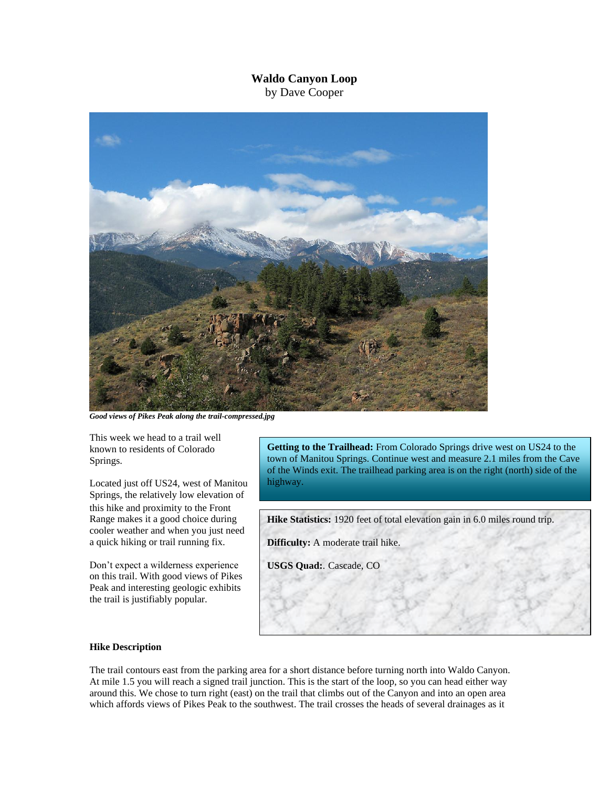## **Waldo Canyon Loop** by Dave Cooper



*Good views of Pikes Peak along the trail-compressed.jpg*

This week we head to a trail well known to residents of Colorado Springs.

Located just off US24, west of Manitou Springs, the relatively low elevation of this hike and proximity to the Front Range makes it a good choice during cooler weather and when you just need a quick hiking or trail running fix.

Don't expect a wilderness experience on this trail. With good views of Pikes Peak and interesting geologic exhibits the trail is justifiably popular.

**Getting to the Trailhead:** From Colorado Springs drive west on US24 to the town of Manitou Springs. Continue west and measure 2.1 miles from the Cave of the Winds exit. The trailhead parking area is on the right (north) side of the highway.

**Hike Statistics:** 1920 feet of total elevation gain in 6.0 miles round trip.

**Difficulty:** A moderate trail hike.

**USGS Quad:**. Cascade, CO

## **Hike Description**

The trail contours east from the parking area for a short distance before turning north into Waldo Canyon. At mile 1.5 you will reach a signed trail junction. This is the start of the loop, so you can head either way around this. We chose to turn right (east) on the trail that climbs out of the Canyon and into an open area which affords views of Pikes Peak to the southwest. The trail crosses the heads of several drainages as it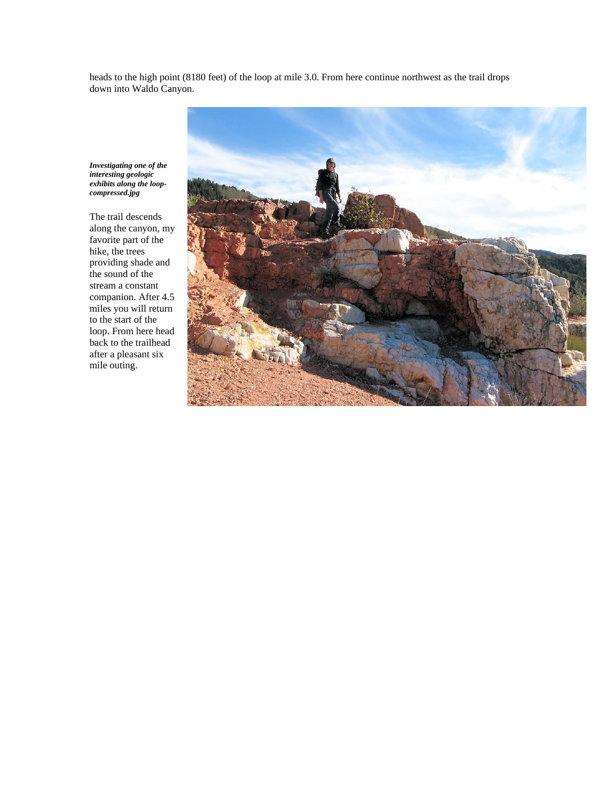heads to the high point (8180 feet) of the loop at mile 3.0. From here continue northwest as the trail drops down into Waldo Canyon.

*Investigating one of the interesting geologic exhibits along the loopcompressed.jpg*

The trail descends along the canyon, my favorite part of the hike, the trees providing shade and the sound of the stream a constant companion. After 4.5 miles you will return to the start of the loop. From here head back to the trailhead after a pleasant six mile outing.

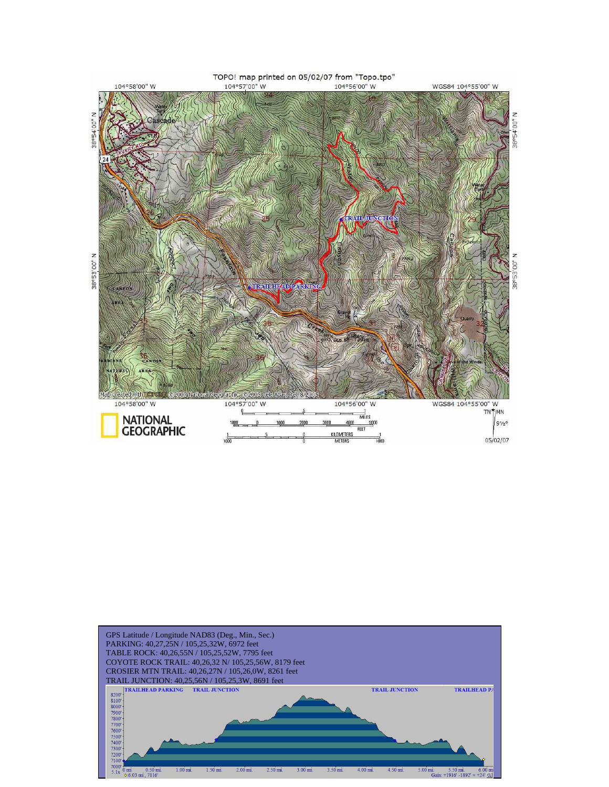